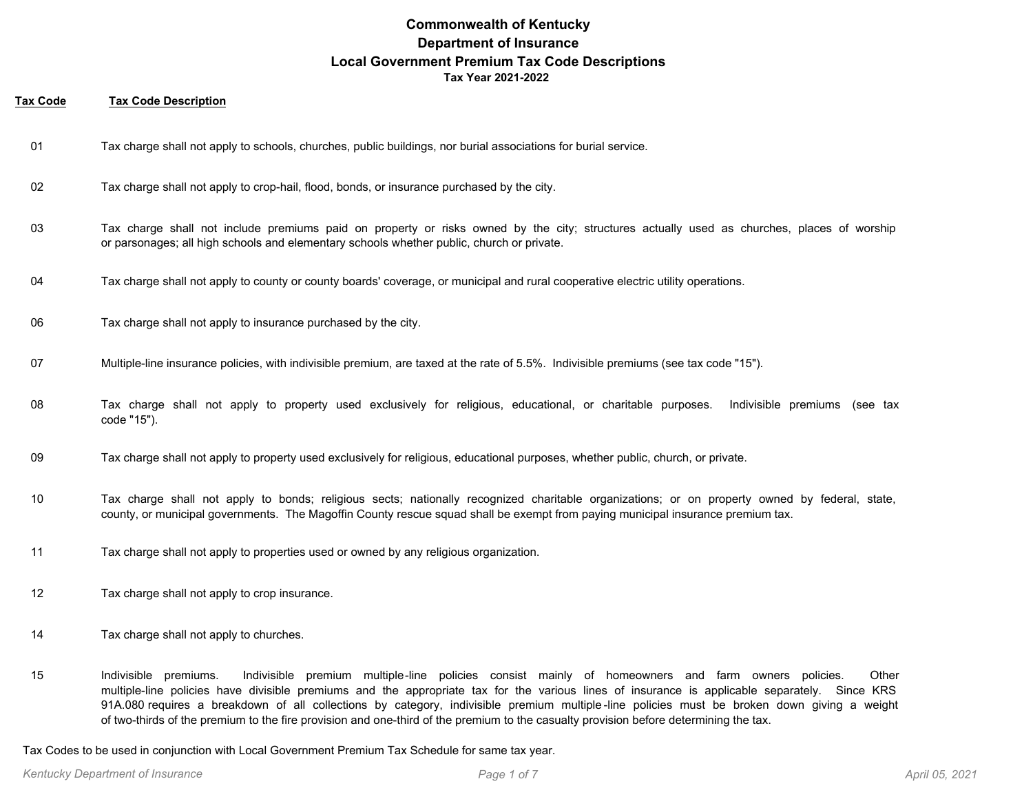#### **Tax Code Tax Code Description**

- 01 Tax charge shall not apply to schools, churches, public buildings, nor burial associations for burial service.
- 02 Tax charge shall not apply to crop-hail, flood, bonds, or insurance purchased by the city.
- Tax charge shall not include premiums paid on property or risks owned by the city; structures actually used as churches, places of worship or parsonages; all high schools and elementary schools whether public, church or private. 03
- 04 Tax charge shall not apply to county or county boards' coverage, or municipal and rural cooperative electric utility operations.
- 06 Tax charge shall not apply to insurance purchased by the city.
- 07 Multiple-line insurance policies, with indivisible premium, are taxed at the rate of 5.5%. Indivisible premiums (see tax code "15").
- Tax charge shall not apply to property used exclusively for religious, educational, or charitable purposes. Indivisible premiums (see tax code "15"). 08
- 09 Tax charge shall not apply to property used exclusively for religious, educational purposes, whether public, church, or private.
- Tax charge shall not apply to bonds; religious sects; nationally recognized charitable organizations; or on property owned by federal, state, county, or municipal governments. The Magoffin County rescue squad shall be exempt from paying municipal insurance premium tax. 10
- 11 Tax charge shall not apply to properties used or owned by any religious organization.
- 12 Tax charge shall not apply to crop insurance.
- 14 Tax charge shall not apply to churches.
- Indivisible premiums. Indivisible premium multiple-line policies consist mainly of homeowners and farm owners policies. Other multiple-line policies have divisible premiums and the appropriate tax for the various lines of insurance is applicable separately. Since KRS 91A.080 requires a breakdown of all collections by category, indivisible premium multiple -line policies must be broken down giving a weight of two-thirds of the premium to the fire provision and one-third of the premium to the casualty provision before determining the tax. 15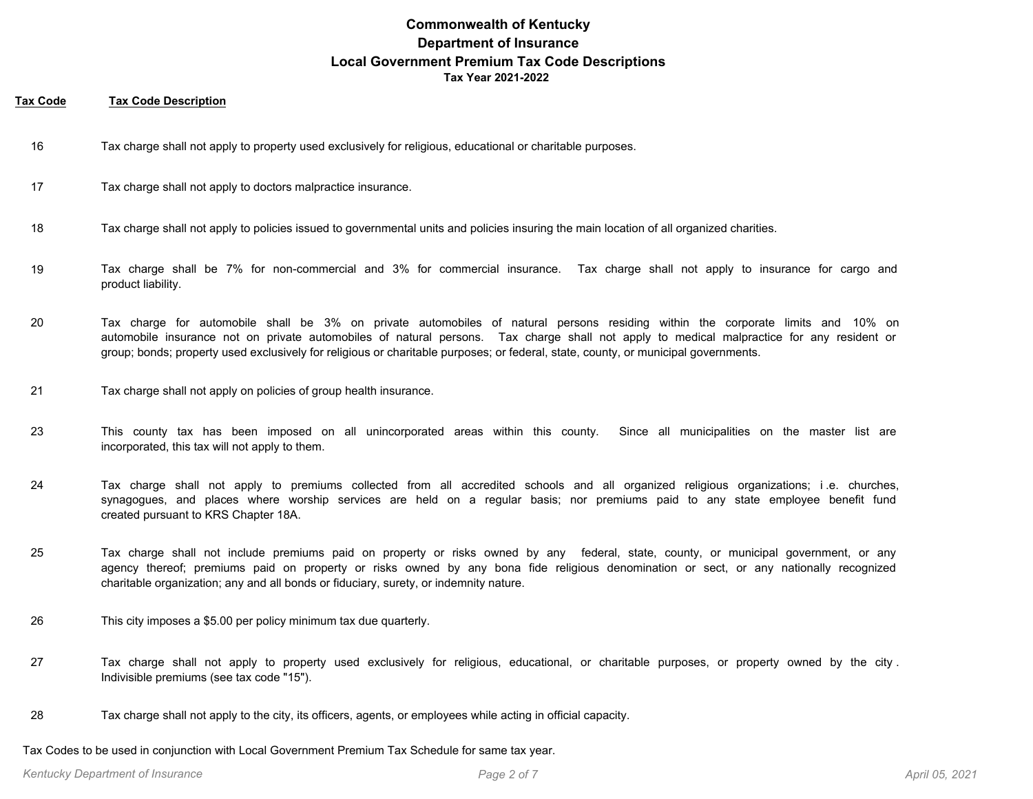#### **Tax Code Tax Code Description**

- 16 Tax charge shall not apply to property used exclusively for religious, educational or charitable purposes.
- 17 Tax charge shall not apply to doctors malpractice insurance.
- 18 Tax charge shall not apply to policies issued to governmental units and policies insuring the main location of all organized charities.
- Tax charge shall be 7% for non-commercial and 3% for commercial insurance. Tax charge shall not apply to insurance for cargo and product liability. 19
- Tax charge for automobile shall be 3% on private automobiles of natural persons residing within the corporate limits and 10% on automobile insurance not on private automobiles of natural persons. Tax charge shall not apply to medical malpractice for any resident or group; bonds; property used exclusively for religious or charitable purposes; or federal, state, county, or municipal governments. 20
- 21 Tax charge shall not apply on policies of group health insurance.
- This county tax has been imposed on all unincorporated areas within this county. Since all municipalities on the master list are incorporated, this tax will not apply to them. 23
- Tax charge shall not apply to premiums collected from all accredited schools and all organized religious organizations; i .e. churches, synagogues, and places where worship services are held on a regular basis; nor premiums paid to any state employee benefit fund created pursuant to KRS Chapter 18A. 24
- Tax charge shall not include premiums paid on property or risks owned by any federal, state, county, or municipal government, or any agency thereof; premiums paid on property or risks owned by any bona fide religious denomination or sect, or any nationally recognized charitable organization; any and all bonds or fiduciary, surety, or indemnity nature. 25
- 26 This city imposes a \$5.00 per policy minimum tax due quarterly.
- Tax charge shall not apply to property used exclusively for religious, educational, or charitable purposes, or property owned by the city . Indivisible premiums (see tax code "15"). 27
- 28 Tax charge shall not apply to the city, its officers, agents, or employees while acting in official capacity.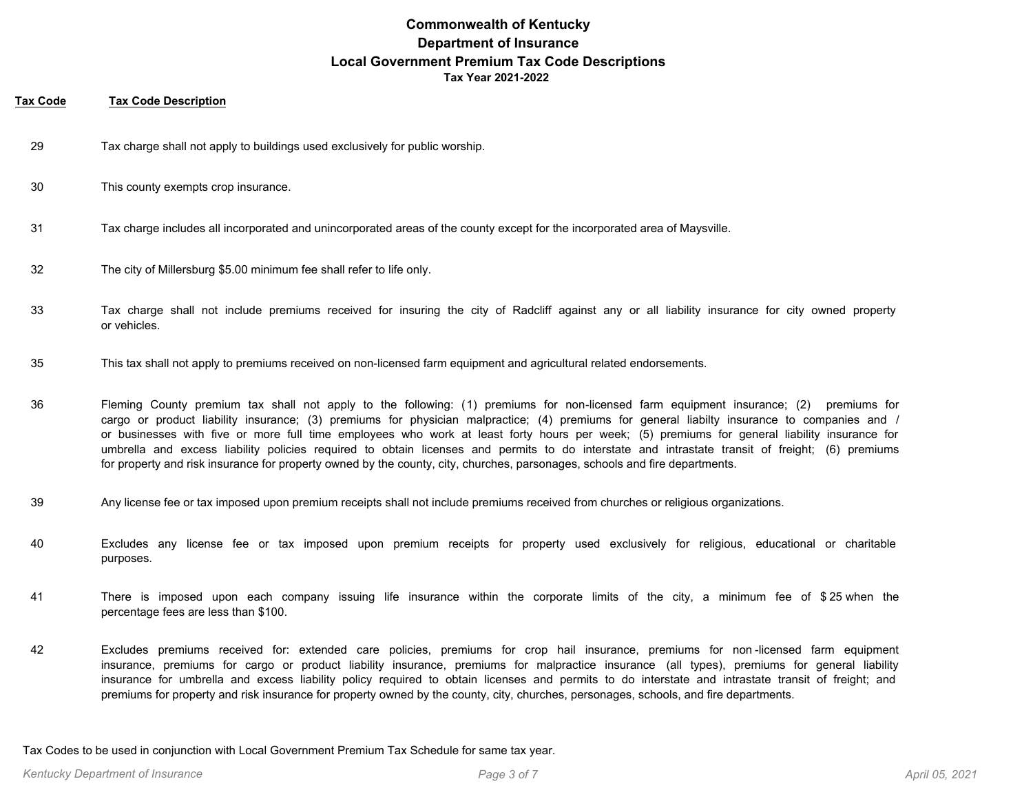#### **Tax Code Tax Code Description**

- 29 Tax charge shall not apply to buildings used exclusively for public worship.
- 30 This county exempts crop insurance.
- 31 Tax charge includes all incorporated and unincorporated areas of the county except for the incorporated area of Maysville.
- 32 The city of Millersburg \$5.00 minimum fee shall refer to life only.
- Tax charge shall not include premiums received for insuring the city of Radcliff against any or all liability insurance for city owned property or vehicles. 33
- 35 This tax shall not apply to premiums received on non-licensed farm equipment and agricultural related endorsements.
- Fleming County premium tax shall not apply to the following: (1) premiums for non-licensed farm equipment insurance; (2) premiums for cargo or product liability insurance; (3) premiums for physician malpractice; (4) premiums for general liabilty insurance to companies and / or businesses with five or more full time employees who work at least forty hours per week; (5) premiums for general liability insurance for umbrella and excess liability policies required to obtain licenses and permits to do interstate and intrastate transit of freight; (6) premiums for property and risk insurance for property owned by the county, city, churches, parsonages, schools and fire departments. 36
- 39 Any license fee or tax imposed upon premium receipts shall not include premiums received from churches or religious organizations.
- Excludes any license fee or tax imposed upon premium receipts for property used exclusively for religious, educational or charitable purposes. 40
- There is imposed upon each company issuing life insurance within the corporate limits of the city, a minimum fee of \$ 25 when the percentage fees are less than \$100. 41
- Excludes premiums received for: extended care policies, premiums for crop hail insurance, premiums for non -licensed farm equipment insurance, premiums for cargo or product liability insurance, premiums for malpractice insurance (all types), premiums for general liability insurance for umbrella and excess liability policy required to obtain licenses and permits to do interstate and intrastate transit of freight; and premiums for property and risk insurance for property owned by the county, city, churches, personages, schools, and fire departments. 42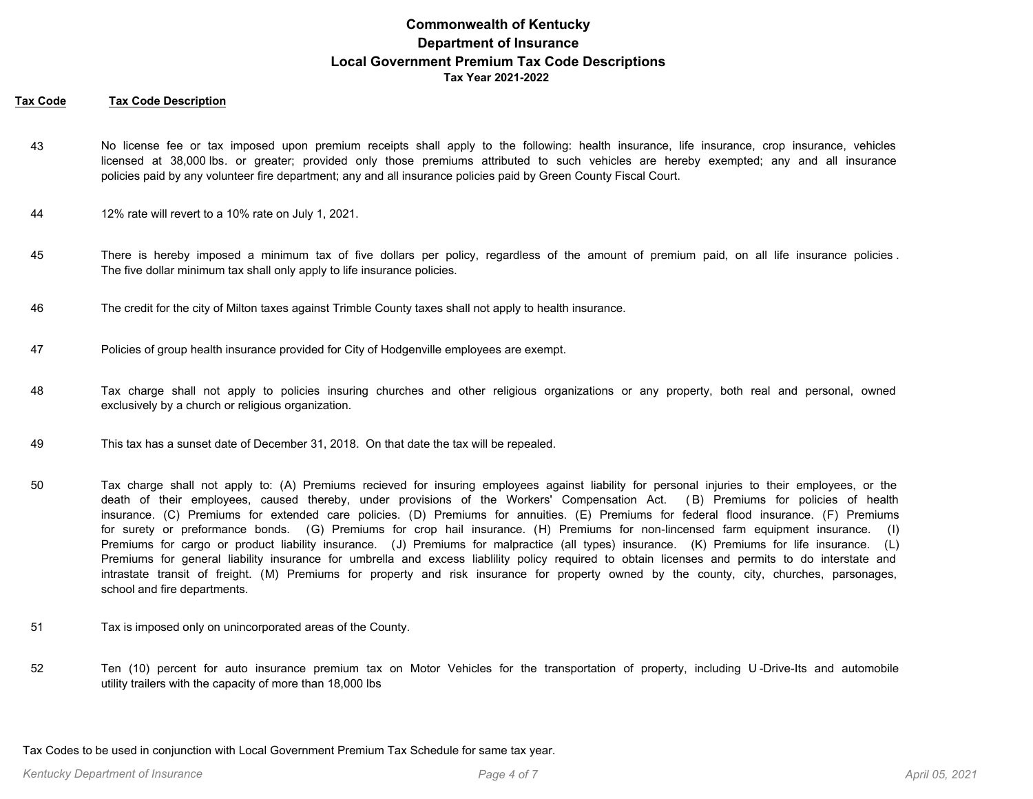#### **Tax Code Tax Code Description**

- No license fee or tax imposed upon premium receipts shall apply to the following: health insurance, life insurance, crop insurance, vehicles licensed at 38,000 lbs. or greater; provided only those premiums attributed to such vehicles are hereby exempted; any and all insurance policies paid by any volunteer fire department; any and all insurance policies paid by Green County Fiscal Court. 43
- 44 12% rate will revert to a 10% rate on July 1, 2021.
- There is hereby imposed a minimum tax of five dollars per policy, regardless of the amount of premium paid, on all life insurance policies . The five dollar minimum tax shall only apply to life insurance policies. 45
- 46 The credit for the city of Milton taxes against Trimble County taxes shall not apply to health insurance.
- 47 Policies of group health insurance provided for City of Hodgenville employees are exempt.
- Tax charge shall not apply to policies insuring churches and other religious organizations or any property, both real and personal, owned exclusively by a church or religious organization. 48
- 49 This tax has a sunset date of December 31, 2018. On that date the tax will be repealed.
- Tax charge shall not apply to: (A) Premiums recieved for insuring employees against liability for personal injuries to their employees, or the death of their employees, caused thereby, under provisions of the Workers' Compensation Act. ( B) Premiums for policies of health insurance. (C) Premiums for extended care policies. (D) Premiums for annuities. (E) Premiums for federal flood insurance. (F) Premiums for surety or preformance bonds. (G) Premiums for crop hail insurance. (H) Premiums for non-lincensed farm equipment insurance. (I) Premiums for cargo or product liability insurance. (J) Premiums for malpractice (all types) insurance. (K) Premiums for life insurance. (L) Premiums for general liability insurance for umbrella and excess liablility policy required to obtain licenses and permits to do interstate and intrastate transit of freight. (M) Premiums for property and risk insurance for property owned by the county, city, churches, parsonages, school and fire departments. 50
- 51 Tax is imposed only on unincorporated areas of the County.
- Ten (10) percent for auto insurance premium tax on Motor Vehicles for the transportation of property, including U -Drive-Its and automobile utility trailers with the capacity of more than 18,000 lbs 52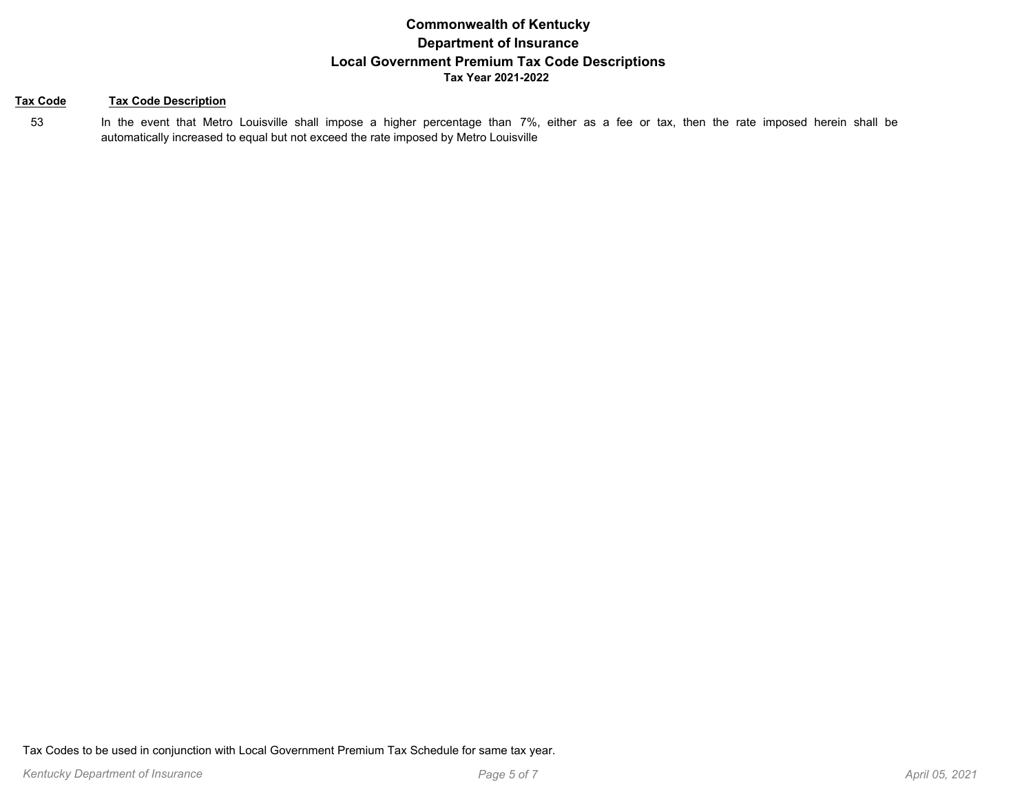#### **Tax Code Tax Code Description**

In the event that Metro Louisville shall impose a higher percentage than 7%, either as a fee or tax, then the rate imposed herein shall be automatically increased to equal but not exceed the rate imposed by Metro Louisville 53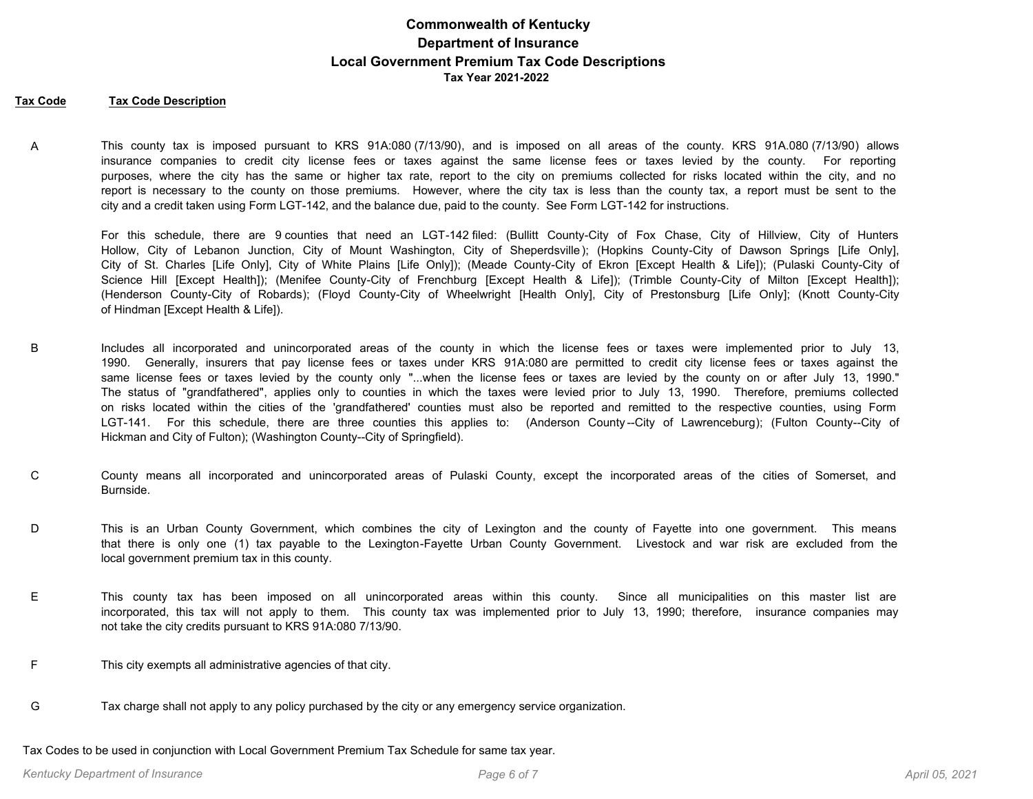#### **Tax Code Tax Code Description**

This county tax is imposed pursuant to KRS 91A:080 (7/13/90), and is imposed on all areas of the county. KRS 91A.080 (7/13/90) allows insurance companies to credit city license fees or taxes against the same license fees or taxes levied by the county. For reporting purposes, where the city has the same or higher tax rate, report to the city on premiums collected for risks located within the city, and no report is necessary to the county on those premiums. However, where the city tax is less than the county tax, a report must be sent to the city and a credit taken using Form LGT-142, and the balance due, paid to the county. See Form LGT-142 for instructions. A

For this schedule, there are 9 counties that need an LGT-142 filed: (Bullitt County-City of Fox Chase, City of Hillview, City of Hunters Hollow, City of Lebanon Junction, City of Mount Washington, City of Sheperdsville ); (Hopkins County-City of Dawson Springs [Life Only], City of St. Charles [Life Only], City of White Plains [Life Only]); (Meade County-City of Ekron [Except Health & Life]); (Pulaski County-City of Science Hill [Except Health]); (Menifee County-City of Frenchburg [Except Health & Life]); (Trimble County-City of Milton [Except Health]); (Henderson County-City of Robards); (Floyd County-City of Wheelwright [Health Only], City of Prestonsburg [Life Only]; (Knott County-City of Hindman [Except Health & Life]).

- Includes all incorporated and unincorporated areas of the county in which the license fees or taxes were implemented prior to July 13, 1990. Generally, insurers that pay license fees or taxes under KRS 91A:080 are permitted to credit city license fees or taxes against the same license fees or taxes levied by the county only "...when the license fees or taxes are levied by the county on or after July 13, 1990." The status of "grandfathered", applies only to counties in which the taxes were levied prior to July 13, 1990. Therefore, premiums collected on risks located within the cities of the 'grandfathered' counties must also be reported and remitted to the respective counties, using Form LGT-141. For this schedule, there are three counties this applies to: (Anderson County--City of Lawrenceburg); (Fulton County--City of Hickman and City of Fulton); (Washington County--City of Springfield). B
- County means all incorporated and unincorporated areas of Pulaski County, except the incorporated areas of the cities of Somerset, and Burnside. C
- This is an Urban County Government, which combines the city of Lexington and the county of Fayette into one government. This means that there is only one (1) tax payable to the Lexington-Fayette Urban County Government. Livestock and war risk are excluded from the local government premium tax in this county. D
- This county tax has been imposed on all unincorporated areas within this county. Since all municipalities on this master list are incorporated, this tax will not apply to them. This county tax was implemented prior to July 13, 1990; therefore, insurance companies may not take the city credits pursuant to KRS 91A:080 7/13/90. E
- F This city exempts all administrative agencies of that city.
- G Tax charge shall not apply to any policy purchased by the city or any emergency service organization.